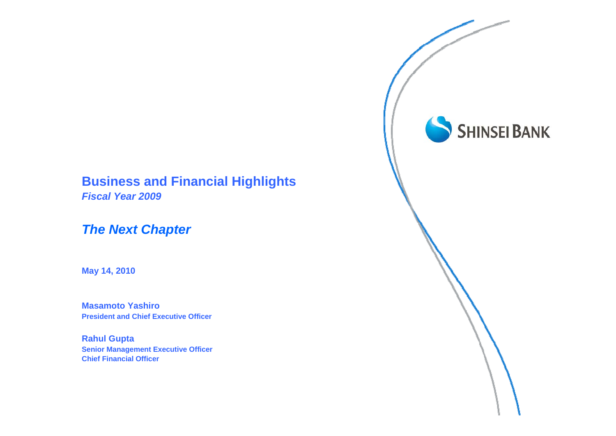# **Business and Financial Highlights**

*Fiscal Year 2009*

# *The Next Chapter*

**May 14, 2010**

**Masamoto Yashiro President and Chief Executive Officer**

**Rahul Gupta Senior Management Executive Officer Chief Financial Officer**

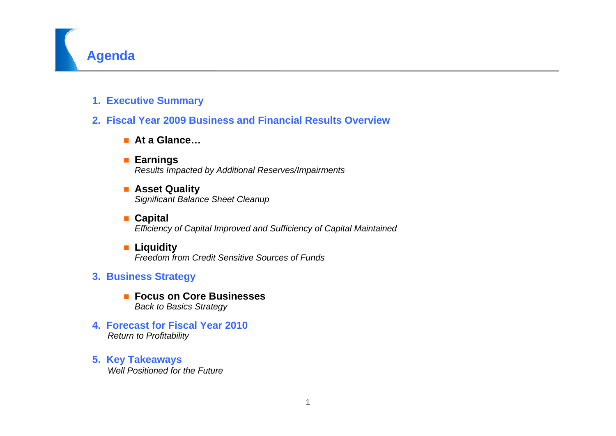

**1. Executive Summary**

## **2. Fiscal Year 2009 Business and Financial Results Overview**

- **At a Glance…**
- **Earnings** *Results Impacted by Additional Reserves/Impairments*
- **Asset Quality** *Significant Balance Sheet Cleanup*
- **Capital** *Efficiency of Capital Improved and Sufficiency of Capital Maintained*
- Liquidity *Freedom from Credit Sensitive Sources of Funds*
- **3. Business Strategy** 
	- **Focus on Core Businesses**  *Back to Basics Strategy*
- **4. Forecast for Fiscal Year 2010***Return to Profitability*
- **5. Key Takeaways** *Well Positioned for the Future*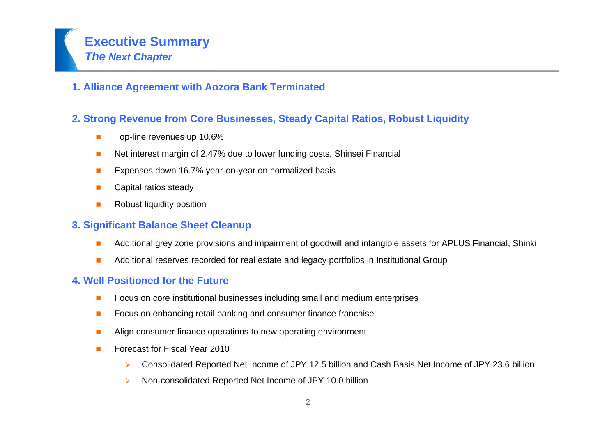# **Executive Summary** *The Next Chapter*

## **1. Alliance Agreement with Aozora Bank Terminated**

## **2. Strong Revenue from Core Businesses, Steady Capital Ratios, Robust Liquidity**

- Top-line revenues up 10.6%
- Г Net interest margin of 2.47% due to lower funding costs, Shinsei Financial
- Expenses down 16.7% year-on-year on normalized basis
- Capital ratios steady
- Г Robust liquidity position

## **3. Significant Balance Sheet Cleanup**

- г Additional grey zone provisions and impairment of goodwill and intangible assets for APLUS Financial, Shinki
- Additional reserves recorded for real estate and legacy portfolios in Institutional Group

## **4. Well Positioned for the Future**

- Focus on core institutional businesses including small and medium enterprises
- $\mathcal{L}_{\mathcal{A}}$ Focus on enhancing retail banking and consumer finance franchise
- $\mathbf{r}$ Align consumer finance operations to new operating environment
- Forecast for Fiscal Year 2010
	- $\blacktriangleright$ Consolidated Reported Net Income of JPY 12.5 billion and Cash Basis Net Income of JPY 23.6 billion
	- $\blacktriangleright$ Non-consolidated Reported Net Income of JPY 10.0 billion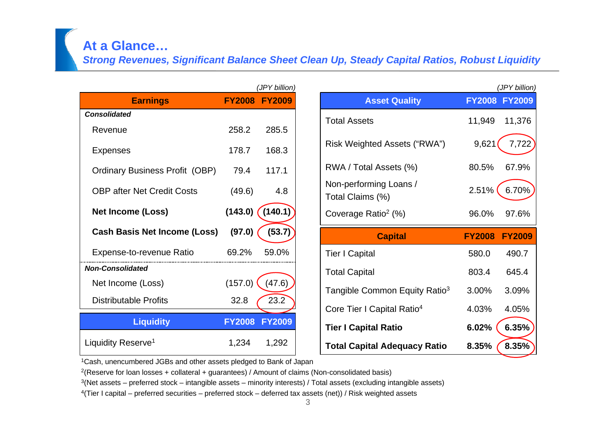## **At a Glance…**

*Strong Revenues, Significant Balance Sheet Clean Up, Steady Capital Ratios, Robust Liquidity*

|                                       |               | (JPY billion)       |
|---------------------------------------|---------------|---------------------|
| <b>Earnings</b>                       |               | FY2008 FY2009       |
| <b>Consolidated</b>                   |               |                     |
| Revenue                               | 258.2         | 285.5               |
| <b>Expenses</b>                       | 178.7         | 168.3               |
| <b>Ordinary Business Profit (OBP)</b> | 79.4          | 117.1               |
| <b>OBP after Net Credit Costs</b>     | (49.6)        | 4.8                 |
| <b>Net Income (Loss)</b>              |               | $(143.0)$ $(140.1)$ |
| <b>Cash Basis Net Income (Loss)</b>   | (97.0)        | (53.7)              |
| Expense-to-revenue Ratio              | 69.2%         | 59.0%               |
| <b>Non-Consolidated</b>               |               |                     |
| Net Income (Loss)                     | (157.0)       | (47.6)              |
| <b>Distributable Profits</b>          | 32.8          | 23.2                |
| <b>Liquidity</b>                      | <b>FY2008</b> | <b>FY2009</b>       |
| Liquidity Reserve <sup>1</sup>        | 1,234         | 1,292               |

| (JPY billion) |                                            |               | (JPY billion) |
|---------------|--------------------------------------------|---------------|---------------|
| <b>FY2009</b> | <b>Asset Quality</b>                       |               | FY2008 FY2009 |
| 285.5         | <b>Total Assets</b>                        | 11,949        | 11,376        |
| 168.3         | Risk Weighted Assets ("RWA")               | 9,621         | 7,722         |
| 117.1         | RWA / Total Assets (%)                     | 80.5%         | 67.9%         |
| 4.8           | Non-performing Loans /<br>Total Claims (%) | 2.51%         | 6.70%         |
| (140.1)       | Coverage Ratio <sup>2</sup> (%)            | 96.0%         | 97.6%         |
|               |                                            |               |               |
| (53.7)        | <b>Capital</b>                             | <b>FY2008</b> | <b>FY2009</b> |
| 59.0%         | <b>Tier I Capital</b>                      | 580.0         | 490.7         |
|               | <b>Total Capital</b>                       | 803.4         | 645.4         |
| (47.6)        | Tangible Common Equity Ratio <sup>3</sup>  | 3.00%         | 3.09%         |
| 23.2          | Core Tier I Capital Ratio <sup>4</sup>     | 4.03%         | 4.05%         |
| <b>FY2009</b> | <b>Tier I Capital Ratio</b>                | 6.02%         | 6.35%         |

1Cash, unencumbered JGBs and other assets pledged to Bank of Japan

<sup>2</sup>(Reserve for loan losses + collateral + guarantees) / Amount of claims (Non-consolidated basis)

 $3$ (Net assets – preferred stock – intangible assets – minority interests) / Total assets (excluding intangible assets)

4(Tier I capital – preferred securities – preferred stock – deferred tax assets (net)) / Risk weighted assets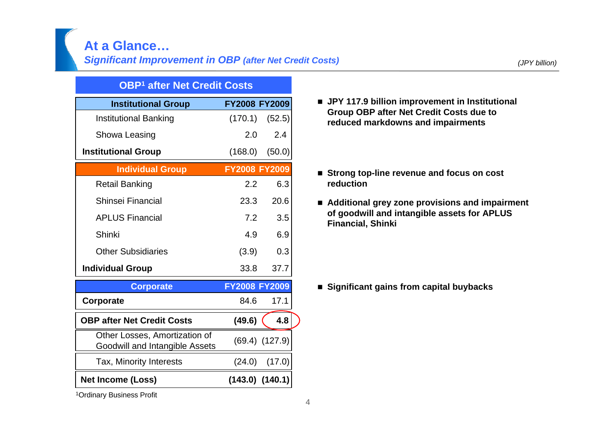## **At a Glance… Significant Improvement in OBP (after Net Credit Costs)** *(JPY billion) (JPY billion)*

#### **OBP1 after Net Credit Costs**

| <b>Institutional Group</b>                                      | <b>FY2008 FY2009</b> |                     |
|-----------------------------------------------------------------|----------------------|---------------------|
| <b>Institutional Banking</b>                                    | (170.1)              | (52.5)              |
| Showa Leasing                                                   | 2.0                  | 2.4                 |
| <b>Institutional Group</b>                                      | (168.0)              | (50.0)              |
| <b>Individual Group</b>                                         | <b>FY2008 FY2009</b> |                     |
| <b>Retail Banking</b>                                           | 2.2                  | 6.3                 |
| Shinsei Financial                                               | 23.3                 | 20.6                |
| <b>APLUS Financial</b>                                          | 7.2                  | 3.5                 |
| Shinki                                                          | 4.9                  | 6.9                 |
| <b>Other Subsidiaries</b>                                       | (3.9)                | 0.3                 |
| <b>Individual Group</b>                                         | 33.8                 | 37.7                |
| <b>Corporate</b>                                                | <b>FY2008 FY2009</b> |                     |
| Corporate                                                       | 84.6                 | 17.1                |
| <b>OBP after Net Credit Costs</b>                               | (49.6)               | 4.8                 |
| Other Losses, Amortization of<br>Goodwill and Intangible Assets |                      | $(69.4)$ $(127.9)$  |
| Tax, Minority Interests                                         | (24.0)               | (17.0)              |
| <b>Net Income (Loss)</b>                                        |                      | $(143.0)$ $(140.1)$ |

- JPY 117.9 billion improvement in Institutional **Group OBP after Net Credit Costs due to reduced markdowns and impairments**
- Strong top-line revenue and focus on cost **reduction**
- Additional grey zone provisions and impairment **of goodwill and intangible assets for APLUS Financial, Shinki**

■ Significant gains from capital buybacks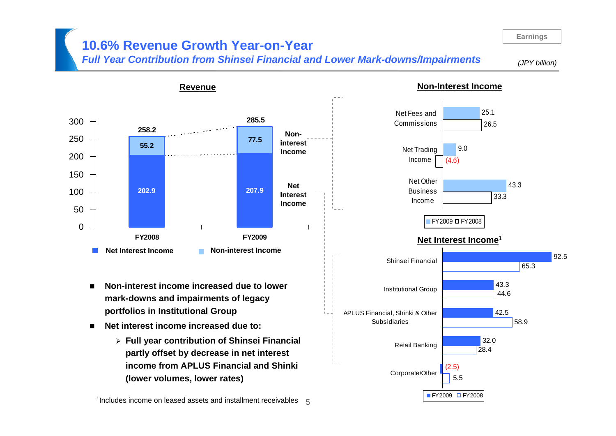# **10.6% Revenue Growth Year-on-Year**

**Revenue**

*Full Year Contribution from Shinsei Financial and Lower Mark-downs/Impairments*

*(JPY billion)*



- ▆ **Non-interest income increased due to lower mark-downs and impairments of legacy portfolios in Institutional Group**
- **Net interest income increased due to:** 
	- ¾ **Full year contribution of Shinsei Financial partly offset by decrease in net interest income from APLUS Financial and Shinki (lower volumes, lower rates)**

#### **Non-Interest Income**

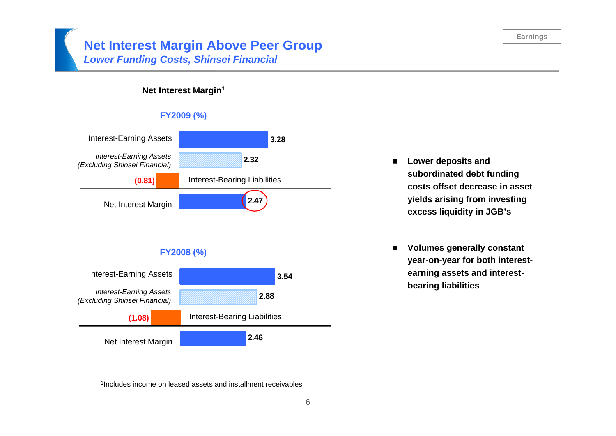## **Net Interest Margin Above Peer Group** *Lower Funding Costs, Shinsei Financial*

#### **Net Interest Margin1**

#### **FY2009 (%)**



#### **FY2008 (%)**



 $\mathbf{r}$  **Lower deposits and subordinated debt funding costs offset decrease in asset yields arising from investing excess liquidity in JGB's**

▆ **Volumes generally constant year-on-year for both interestearning assets and interest-**

<sup>1</sup>Includes income on leased assets and installment receivables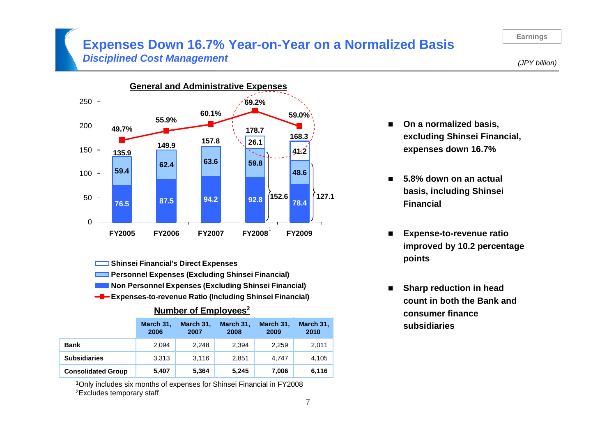## **Expenses Down 16.7% Year-on-Year on a Normalized Basis** *Disciplined Cost Management*

*(JPY billion)*



**Shinsei Financial's Direct Expenses** 

- **Personnel Expenses (Excluding Shinsei Financial)**
- **Non Personnel Expenses (Excluding Shinsei Financial)**
- **Expenses-to-revenue Ratio (Including Shinsei Financial)**

#### **Number of Employees2**

|                           | March 31,<br>2006 | March 31,<br>2007 | March 31,<br>2008 | March 31,<br>2009 | March 31,<br>2010 |
|---------------------------|-------------------|-------------------|-------------------|-------------------|-------------------|
| <b>Bank</b>               | 2.094             | 2.248             | 2,394             | 2,259             | 2,011             |
| <b>Subsidiaries</b>       | 3.313             | 3.116             | 2.851             | 4.747             | 4,105             |
| <b>Consolidated Group</b> | 5,407             | 5,364             | 5,245             | 7,006             | 6,116             |

1Only includes six months of expenses for Shinsei Financial in FY2008 2Excludes temporary staff

- On a normalized basis, **excluding Shinsei Financial, expenses down 16.7%**
- $\blacksquare$  **5.8% down on an actual basis, including Shinsei Financial**
- $\blacksquare$  **Expense-to-revenue ratio improved by 10.2 percentage points**
- $\blacksquare$  **Sharp reduction in head count in both the Bank and consumer finance subsidiaries**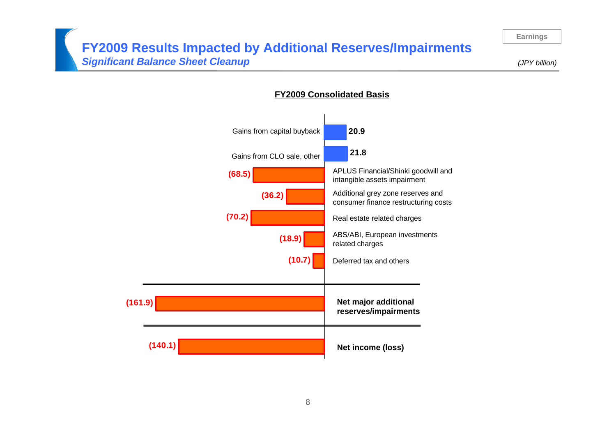## **FY2009 Results Impacted by Additional Reserves/Impairments** *Significant Balance Sheet Cleanup*

*(JPY billion)*



#### **FY2009 Consolidated Basis**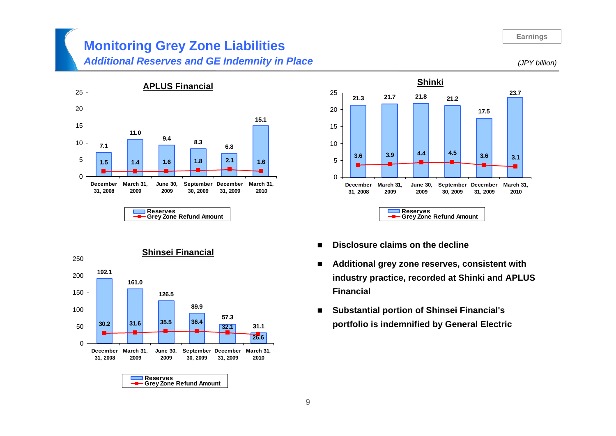# **Monitoring Grey Zone Liabilities**

## *Additional Reserves and GE Indemnity in Place*





- **Disclosure claims on the decline**
- $\blacksquare$  **Additional grey zone reserves, consistent with industry practice, recorded at Shinki and APLUS Financial**
- $\blacksquare$  **Substantial portion of Shinsei Financial's portfolio is indemnified by General Electric**



*(JPY billion)*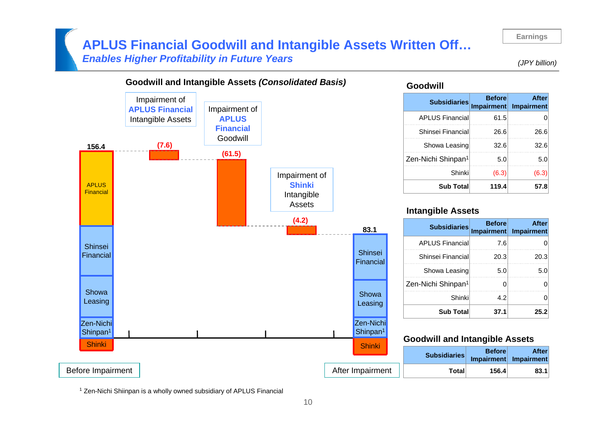## **APLUS Financial Goodwill and Intangible Assets Written Off…** *Enables Higher Profitability in Future Years*

*(JPY billion)*



#### **Goodwill**

| <b>Subsidiaries</b>            | <b>Before</b><br>Impairment | <b>After</b><br>Impairment |
|--------------------------------|-----------------------------|----------------------------|
| <b>APLUS Financial</b>         | 61.5                        |                            |
| Shinsei Financial              | 26.6                        | 26.6                       |
| Showa Leasing                  | 32.6                        | 32.6                       |
| Zen-Nichi Shinpan <sup>1</sup> | 5.0                         | 5.0                        |
| Shinki                         | (6.3)                       | (6.3)                      |
| <b>Sub Total</b>               | 119.4                       | 57.8                       |

#### **Intangible Assets**

| <b>Subsidiaries</b>            | <b>Before</b> | <b>After</b><br>Impairment Impairment |
|--------------------------------|---------------|---------------------------------------|
| <b>APLUS Financial</b>         | 7.6           |                                       |
| Shinsei Financial              | 20.3          | 20.3                                  |
| Showa Leasing                  | 5.0           | 5.0                                   |
| Zen-Nichi Shinpan <sup>1</sup> |               |                                       |
| Shinki                         | 4.2           |                                       |
| <b>Sub Total</b>               | 37.1          | 25.2                                  |

#### **Goodwill and Intangible Assets**

| <b>OHIHAL</b>    | <b>Subsidiaries</b> | <b>Before</b> | <b>After</b><br>Impairment Impairment |
|------------------|---------------------|---------------|---------------------------------------|
| After Impairment | Total               | 156.4         | 83.1                                  |

<sup>1</sup> Zen-Nichi Shiinpan is a wholly owned subsidiary of APLUS Financial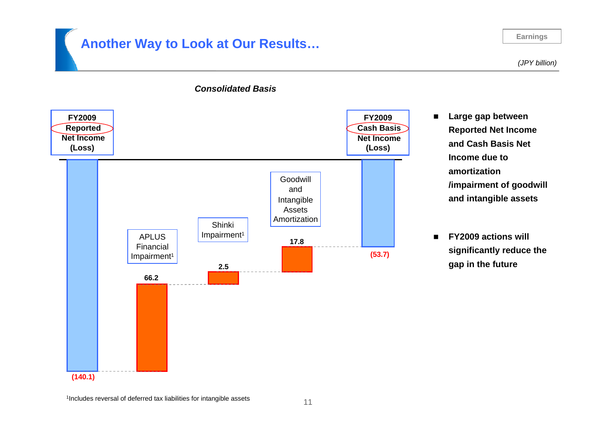# **Another Way to Look at Our Results…**

#### **Earnings**

*(JPY billion)*

 $\blacksquare$ 

 $\blacksquare$ 

 **Large gap between Reported Net Income and Cash Basis Net** 

**/impairment of goodwill** 

**and intangible assets**

**FY2009 actions will** 

**gap in the future**

**significantly reduce the** 

**Income due to** 

**amortization** 



#### *Consolidated Basis*

<sup>1</sup>Includes reversal of deferred tax liabilities for intangible assets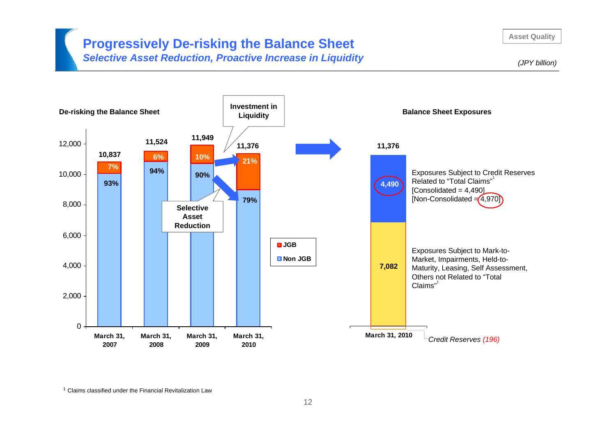# **Progressively De-risking the Balance Sheet**

*Selective Asset Reduction, Proactive Increase in Liquidity*

**Asset Quality**

*(JPY billion)*



<sup>1</sup> Claims classified under the Financial Revitalization Law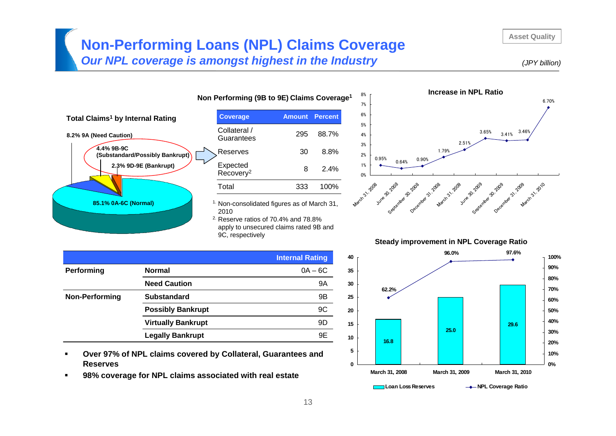# **Non-Performing Loans (NPL) Claims Coverage**

*Our NPL coverage is amongst highest in the Industry*



**Asset Quality**



| Non Performing (9B to 9E) Claims Coverage <sup>1</sup> |               |                |
|--------------------------------------------------------|---------------|----------------|
| <b>Coverage</b>                                        | <b>Amount</b> | <b>Percent</b> |
| Collateral /<br>Guarantees                             | 295           | 88.7%          |
| Reserves                                               | 30            | 8.8%           |
| Expected<br>Recovery <sup>2</sup>                      | 8             | 2.4%           |
| Total                                                  | 333           | 100%           |
|                                                        |               |                |

<sup>1.</sup> Non-consolidated figures as of March 31,

2. Reserve ratios of 70.4% and 78.8% apply to unsecured claims rated 9B and 9C, respectively

|                |                           | <b>Internal Rating</b> |
|----------------|---------------------------|------------------------|
| Performing     | <b>Normal</b>             | $0A - 6C$              |
|                | <b>Need Caution</b>       | 9Α                     |
| Non-Performing | <b>Substandard</b>        | 9B                     |
|                | <b>Possibly Bankrupt</b>  | 9C                     |
|                | <b>Virtually Bankrupt</b> | 9D                     |
|                | <b>Legally Bankrupt</b>   | 9E                     |

- $\blacksquare$  **Over 97% of NPL claims covered by Collateral, Guarantees and Reserves**
- $\blacksquare$ **98% coverage for NPL claims associated with real estate**



#### **Steady improvement in NPL Coverage Ratio**

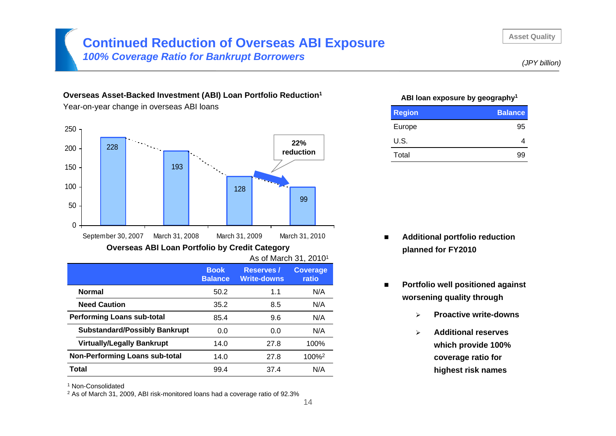# **Continued Reduction of Overseas ABI Exposure**

*100% Coverage Ratio for Bankrupt Borrowers*

#### **Overseas Asset-Backed Investment (ABI) Loan Portfolio Reduction1**

Year-on-year change in overseas ABI loans



As of March 31, 20101

|                                       | <b>Book</b><br><b>Balance</b> | <b>Reserves</b> /<br><b>Write-downs</b> | Coverage<br>ratio |
|---------------------------------------|-------------------------------|-----------------------------------------|-------------------|
| <b>Normal</b>                         | 50.2                          | 1.1                                     | N/A               |
| <b>Need Caution</b>                   | 35.2                          | 8.5                                     | N/A               |
| <b>Performing Loans sub-total</b>     | 85.4                          | 9.6                                     | N/A               |
| <b>Substandard/Possibly Bankrupt</b>  | 0.0                           | 0.0                                     | N/A               |
| <b>Virtually/Legally Bankrupt</b>     | 14.0                          | 27.8                                    | 100%              |
| <b>Non-Performing Loans sub-total</b> | 14.0                          | 27.8                                    | 100% <sup>2</sup> |
| Total                                 | 99.4                          | 37.4                                    | N/A               |

1 Non-Consolidated

 $2$  As of March 31, 2009, ABI risk-monitored loans had a coverage ratio of 92.3%

#### **ABI loan exposure by geography1**

| <b>Region</b> | <b>Balance</b> |
|---------------|----------------|
| Europe        | 95             |
| U.S.          |                |
| Total         | .9G            |

- $\blacksquare$  **Additional portfolio reduction planned for FY2010**
- $\blacksquare$  **Portfolio well positioned against worsening quality through**
	- $\blacktriangleright$ **Proactive write-downs**
	- $\blacktriangleright$  **Additional reserves which provide 100% coverage ratio for highest risk names**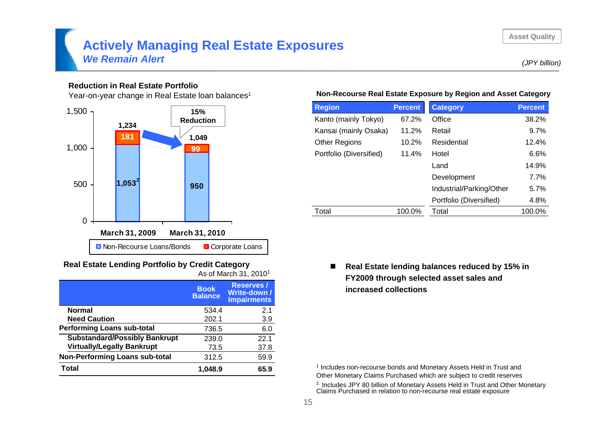#### **Asset Quality**

## **Actively Managing Real Estate Exposures** *We Remain Alert*

#### **Reduction in Real Estate Portfolio**

Year-on-year change in Real Estate loan balances<sup>1</sup>



#### **Real Estate Lending Portfolio by Credit Category** As of March 31, 20101

|                                       | <b>Book</b><br><b>Balance</b> | <b>Reserves /</b><br>Write-down /<br><b>Impairments</b> |
|---------------------------------------|-------------------------------|---------------------------------------------------------|
| <b>Normal</b>                         | 534.4                         | 2.1                                                     |
| <b>Need Caution</b>                   | 202.1                         | 3.9                                                     |
| <b>Performing Loans sub-total</b>     | 736.5                         | 6.0                                                     |
| <b>Substandard/Possibly Bankrupt</b>  | 239.0                         | 22.1                                                    |
| <b>Virtually/Legally Bankrupt</b>     | 73.5                          | 37.8                                                    |
| <b>Non-Performing Loans sub-total</b> | 312.5                         | 59.9                                                    |
| <b>Total</b>                          | 1.048.9                       | 65.9                                                    |

#### **Non-Recourse Real Estate Exposure by Region and Asset Category**

| <b>Region</b>           | <b>Percent</b> | <b>Category</b>          | <b>Percent</b> |
|-------------------------|----------------|--------------------------|----------------|
| Kanto (mainly Tokyo)    | 67.2%          | Office                   | 38.2%          |
| Kansai (mainly Osaka)   | 11.2%          | Retail                   | 9.7%           |
| <b>Other Regions</b>    | 10.2%          | Residential              | 12.4%          |
| Portfolio (Diversified) | 11.4%          | Hotel                    | 6.6%           |
|                         |                | Land                     | 14.9%          |
|                         |                | Development              | 7.7%           |
|                         |                | Industrial/Parking/Other | 5.7%           |
|                         |                | Portfolio (Diversified)  | 4.8%           |
| Total                   | 100.0%         | Total                    | 100.0%         |

#### $\blacksquare$  **Real Estate lending balances reduced by 15% in FY2009 through selected asset sales and increased collections**

<sup>1</sup> Includes non-recourse bonds and Monetary Assets Held in Trust and Other Monetary Claims Purchased which are subject to credit reserves

<sup>2.</sup> Includes JPY 80 billion of Monetary Assets Held in Trust and Other Monetary Claims Purchased in relation to non-recourse real estate exposure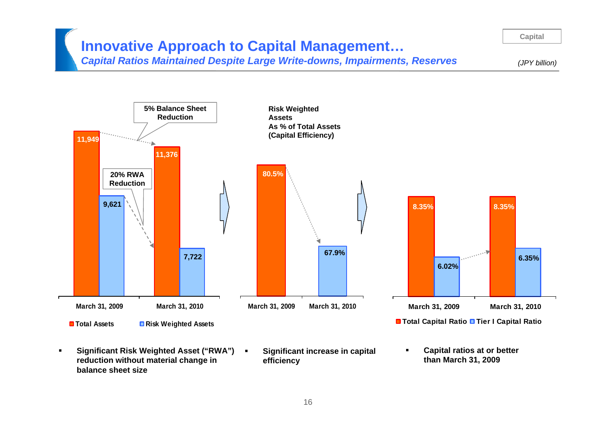# **Innovative Approach to Capital Management…**

*Capital Ratios Maintained Despite Large Write-downs, Impairments, Reserves*

*(JPY billion)*

**Capital**



- **Significant Risk Weighted Asset ("RWA") reduction without material change in balance sheet size**
- **Significant increase in capital efficiency**
- п **Capital ratios at or better than March 31, 2009**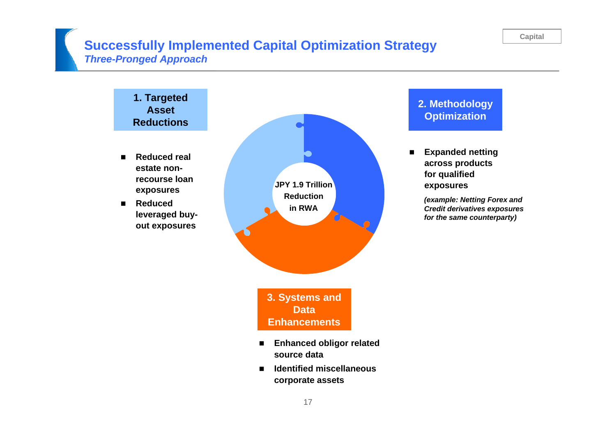# **Successfully Implemented Capital Optimization Strategy** *Three-Pronged Approach*

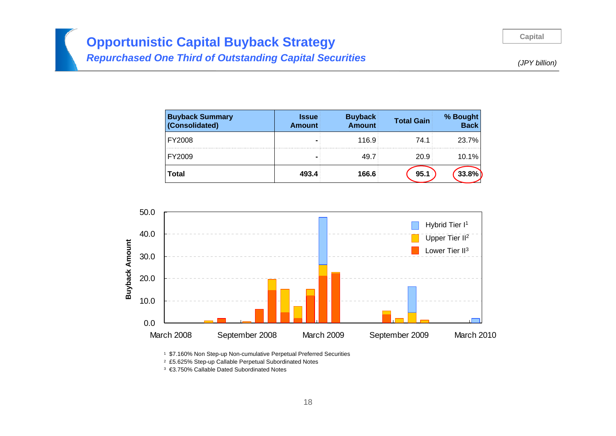**Capital**

# **Opportunistic Capital Buyback Strategy**  *Repurchased One Third of Outstanding Capital Securities*

*(JPY billion)*

| <b>Buyback Summary</b><br>(Consolidated) | <b>Issue</b><br><b>Amount</b> | <b>Buyback</b><br>Amount | <b>Total Gain</b> | % Bought<br>  Back |
|------------------------------------------|-------------------------------|--------------------------|-------------------|--------------------|
| FY2008                                   |                               | 116.9                    | 74.1              | 23.7%              |
| FY2009                                   |                               | 49.7                     | $20.9^{\circ}$    | 10.1%              |
| <b>Total</b>                             | 493.4                         | 166.6                    | 95.1              | 33.8%              |



1 \$7.160% Non Step-up Non-cumulative Perpetual Preferred Securities

2 £5.625% Step-up Callable Perpetual Subordinated Notes

3 €3.750% Callable Dated Subordinated Notes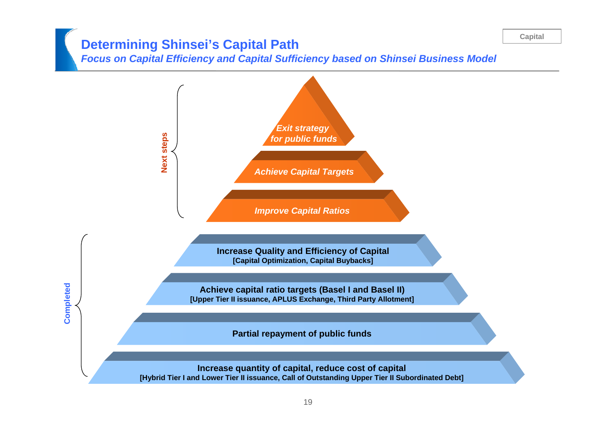#### **Capital**

# **Determining Shinsei's Capital Path**

*Focus on Capital Efficiency and Capital Sufficiency based on Shinsei Business Model*

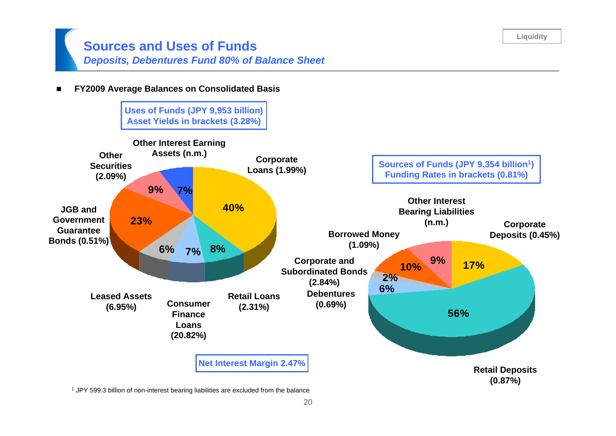## **Sources and Uses of Funds**  *Deposits, Debentures Fund 80% of Balance Sheet*

 $\blacksquare$ **FY2009 Average Balances on Consolidated Basis**



 $1$  JPY 599.3 billion of non-interest bearing liabilities are excluded from the balance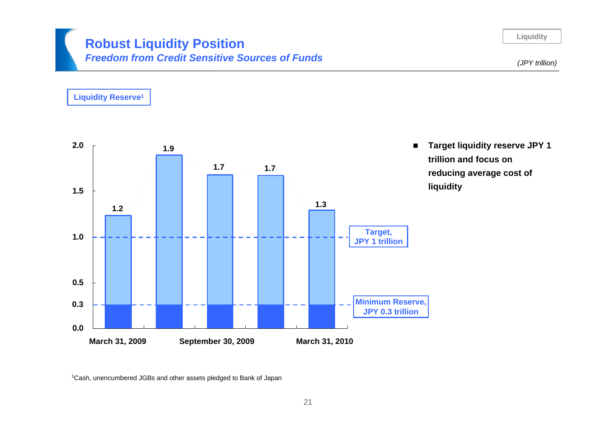## **Robust Liquidity Position** *Freedom from Credit Sensitive Sources of Funds*

**Liquidity**



1Cash, unencumbered JGBs and other assets pledged to Bank of Japan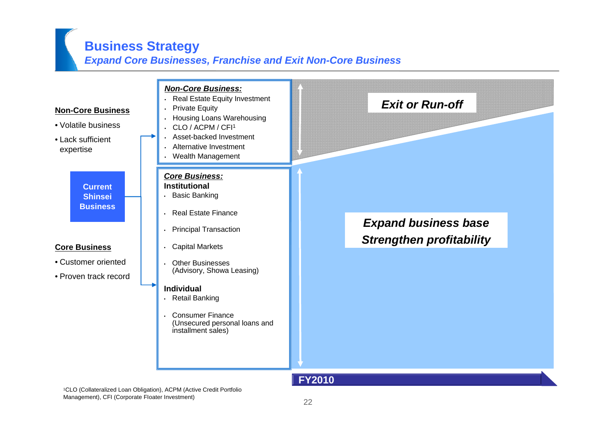# **Business Strategy**

## *Expand Core Businesses, Franchise and Exit Non-Core Business*



Management), CFI (Corporate FIoater Investment)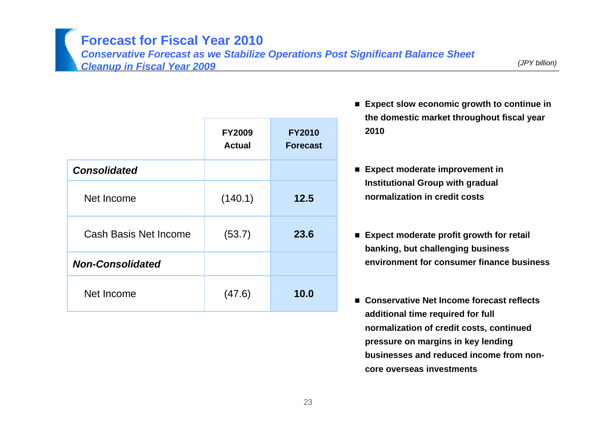**Forecast for Fiscal Year 2010**

*Conservative Forecast as we Stabilize Operations Post Significant Balance Sheet Cleanup in Fiscal Year 2009*

*(JPY billion)*

|                              | <b>FY2009</b><br><b>Actual</b> | <b>FY2010</b><br><b>Forecast</b> |
|------------------------------|--------------------------------|----------------------------------|
| <b>Consolidated</b>          |                                |                                  |
| Net Income                   | (140.1)                        | 12.5                             |
| <b>Cash Basis Net Income</b> | (53.7)                         | 23.6                             |
| <b>Non-Consolidated</b>      |                                |                                  |
| Net Income                   | (47.6)                         | 10.0                             |

- Expect slow economic growth to continue in **the domestic market throughout fiscal year 2010**
- **Expect moderate improvement in Institutional Group with gradual normalization in credit costs**
- **Expect moderate profit growth for retail banking, but challenging business environment for consumer finance business**
- Conservative Net Income forecast reflects **additional time required for full normalization of credit costs, continued pressure on margins in key lending businesses and reduced income from noncore overseas investments**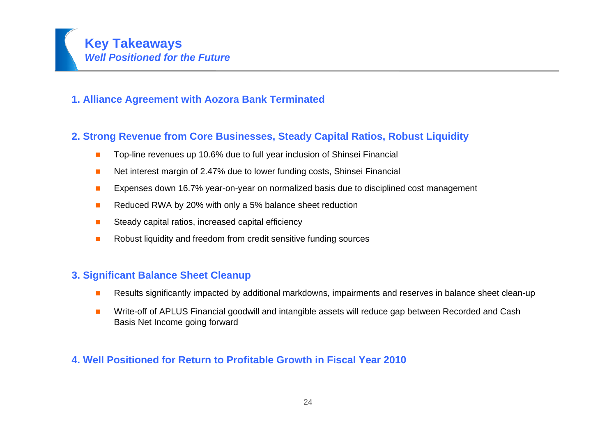

### **1. Alliance Agreement with Aozora Bank Terminated**

## **2. Strong Revenue from Core Businesses, Steady Capital Ratios, Robust Liquidity**

- $\blacksquare$ Top-line revenues up 10.6% due to full year inclusion of Shinsei Financial
- П Net interest margin of 2.47% due to lower funding costs, Shinsei Financial
- п Expenses down 16.7% year-on-year on normalized basis due to disciplined cost management
- п Reduced RWA by 20% with only a 5% balance sheet reduction
- П Steady capital ratios, increased capital efficiency
- $\mathcal{L}_{\mathcal{A}}$ Robust liquidity and freedom from credit sensitive funding sources

### **3. Significant Balance Sheet Cleanup**

- **In** Results significantly impacted by additional markdowns, impairments and reserves in balance sheet clean-up
- $\mathcal{C}^{\mathcal{A}}$  Write-off of APLUS Financial goodwill and intangible assets will reduce gap between Recorded and Cash Basis Net Income going forward

### **4. Well Positioned for Return to Profitable Growth in Fiscal Year 2010**